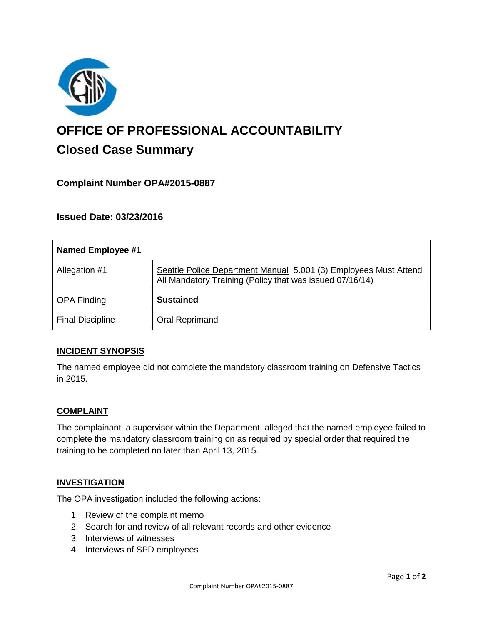

# **OFFICE OF PROFESSIONAL ACCOUNTABILITY Closed Case Summary**

# **Complaint Number OPA#2015-0887**

# **Issued Date: 03/23/2016**

| <b>Named Employee #1</b> |                                                                                                                              |
|--------------------------|------------------------------------------------------------------------------------------------------------------------------|
| Allegation #1            | Seattle Police Department Manual 5.001 (3) Employees Must Attend<br>All Mandatory Training (Policy that was issued 07/16/14) |
| <b>OPA Finding</b>       | <b>Sustained</b>                                                                                                             |
| <b>Final Discipline</b>  | <b>Oral Reprimand</b>                                                                                                        |

## **INCIDENT SYNOPSIS**

The named employee did not complete the mandatory classroom training on Defensive Tactics in 2015.

#### **COMPLAINT**

The complainant, a supervisor within the Department, alleged that the named employee failed to complete the mandatory classroom training on as required by special order that required the training to be completed no later than April 13, 2015.

#### **INVESTIGATION**

The OPA investigation included the following actions:

- 1. Review of the complaint memo
- 2. Search for and review of all relevant records and other evidence
- 3. Interviews of witnesses
- 4. Interviews of SPD employees